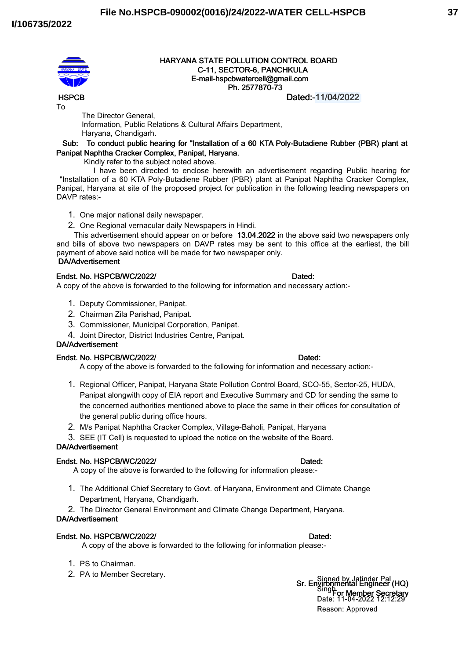## **File No.HSPCB-090002(0016)/24/2022-WATER CELL-HSPCB**



#### HARYANA STATE POLLUTION CONTROL BOARD C-11, SECTOR-6, PANCHKULA E-mail-hspcbwatercell@gmail.com Ph. 2577870-73

HSPCB Dated:-11/04/2022

To

The Director General,

Information, Public Relations & Cultural Affairs Department, Haryana, Chandigarh.

Sub: To conduct public hearing for "Installation of a 60 KTA Poly-Butadiene Rubber (PBR) plant at Panipat Naphtha Cracker Complex, Panipat, Haryana.

Kindly refer to the subject noted above.

I have been directed to enclose herewith an advertisement regarding Public hearing for "Installation of a 60 KTA Poly-Butadiene Rubber (PBR) plant at Panipat Naphtha Cracker Complex, Panipat, Haryana at site of the proposed project for publication in the following leading newspapers on DAVP rates:-

- 1. One major national daily newspaper.
- 2. One Regional vernacular daily Newspapers in Hindi.

This advertisement should appear on or before 13.04.2022 in the above said two newspapers only and bills of above two newspapers on DAVP rates may be sent to this office at the earliest, the bill payment of above said notice will be made for two newspaper only. DA/Advertisement

### Endst. No. HSPCB/WC/2022/ Dated: Dated: Dated:

A copy of the above is forwarded to the following for information and necessary action:-

- 1. Deputy Commissioner, Panipat.
- 2. Chairman Zila Parishad, Panipat.
- 3. Commissioner, Municipal Corporation, Panipat.
- 4. Joint Director, District Industries Centre, Panipat.

### DA/Advertisement

### Endst. No. HSPCB/WC/2022/ Dated: 2002/ Dated: 2003

A copy of the above is forwarded to the following for information and necessary action:-

- 1. Regional Officer, Panipat, Haryana State Pollution Control Board, SCO-55, Sector-25, HUDA, Panipat alongwith copy of EIA report and Executive Summary and CD for sending the same to the concerned authorities mentioned above to place the same in their offices for consultation of the general public during office hours.
- 2. M/s Panipat Naphtha Cracker Complex, Village-Baholi, Panipat, Haryana
- 3. SEE (IT Cell) is requested to upload the notice on the website of the Board.

## DA/Advertisement

## Endst. No. HSPCB/WC/2022/ Dated:

A copy of the above is forwarded to the following for information please:-

- 1. The Additional Chief Secretary to Govt. of Haryana, Environment and Climate Change Department, Haryana, Chandigarh.
- 2. The Director General Environment and Climate Change Department, Haryana.

# DA/Advertisement

# Endst. No. HSPCB/WC/2022/ Dated:

A copy of the above is forwarded to the following for information please:-

- 1. PS to Chairman.
- 2. PA to Member Secretary.

Sr. Environmental Engineer (HQ) For Member Secretary Reason: Approved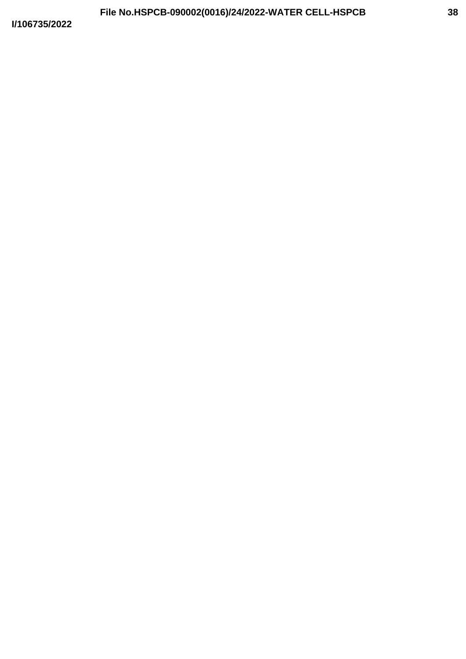**I/106735/2022**